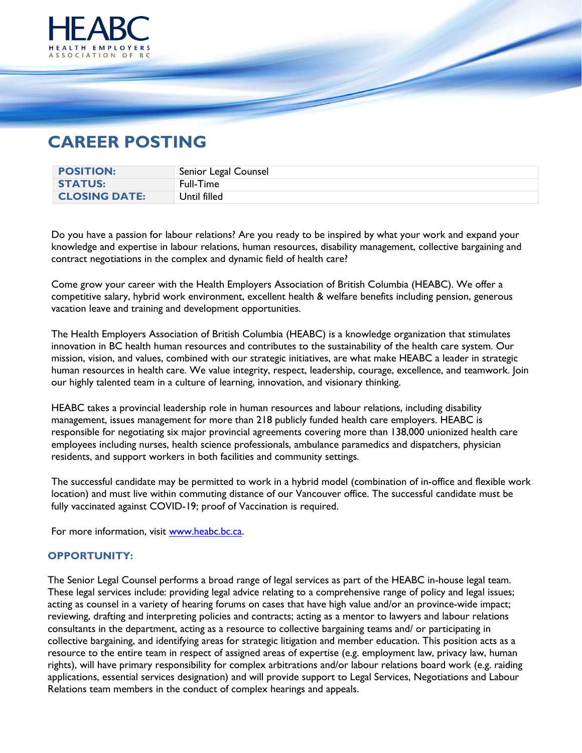

# **CAREER POSTING**

| <b>POSITION:</b>     | Senior Legal Counsel |
|----------------------|----------------------|
| <b>STATUS:</b>       | Full-Time            |
| <b>CLOSING DATE:</b> | Until filled         |

Do you have a passion for labour relations? Are you ready to be inspired by what your work and expand your knowledge and expertise in labour relations, human resources, disability management, collective bargaining and contract negotiations in the complex and dynamic field of health care?

Come grow your career with the Health Employers Association of British Columbia (HEABC). We offer a competitive salary, hybrid work environment, excellent health & welfare benefits including pension, generous vacation leave and training and development opportunities.

The Health Employers Association of British Columbia (HEABC) is a knowledge organization that stimulates innovation in BC health human resources and contributes to the sustainability of the health care system. Our mission, vision, and values, combined with our strategic initiatives, are what make HEABC a leader in strategic human resources in health care. We value integrity, respect, leadership, courage, excellence, and teamwork. Join our highly talented team in a culture of learning, innovation, and visionary thinking.

HEABC takes a provincial leadership role in human resources and labour relations, including disability management, issues management for more than 218 publicly funded health care employers. HEABC is responsible for negotiating six major provincial agreements covering more than 138,000 unionized health care employees including nurses, health science professionals, ambulance paramedics and dispatchers, physician residents, and support workers in both facilities and community settings.

The successful candidate may be permitted to work in a hybrid model (combination of in-office and flexible work location) and must live within commuting distance of our Vancouver office. The successful candidate must be fully vaccinated against COVID-19; proof of Vaccination is required.

For more information, visit [www.heabc.bc.ca.](http://www.heabc.bc.ca/)

## **OPPORTUNITY:**

The Senior Legal Counsel performs a broad range of legal services as part of the HEABC in-house legal team. These legal services include: providing legal advice relating to a comprehensive range of policy and legal issues; acting as counsel in a variety of hearing forums on cases that have high value and/or an province-wide impact; reviewing, drafting and interpreting policies and contracts; acting as a mentor to lawyers and labour relations consultants in the department, acting as a resource to collective bargaining teams and/ or participating in collective bargaining, and identifying areas for strategic litigation and member education. This position acts as a resource to the entire team in respect of assigned areas of expertise (e.g. employment law, privacy law, human rights), will have primary responsibility for complex arbitrations and/or labour relations board work (e.g. raiding applications, essential services designation) and will provide support to Legal Services, Negotiations and Labour Relations team members in the conduct of complex hearings and appeals.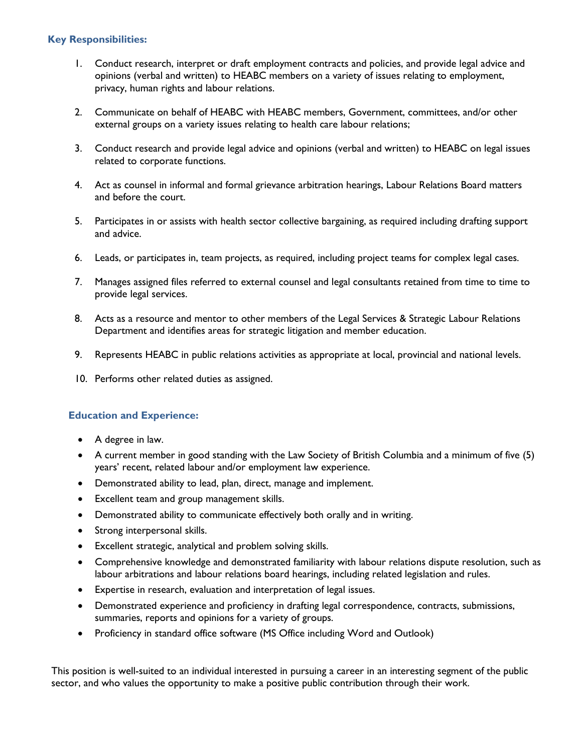# **Key Responsibilities:**

- 1. Conduct research, interpret or draft employment contracts and policies, and provide legal advice and opinions (verbal and written) to HEABC members on a variety of issues relating to employment, privacy, human rights and labour relations.
- 2. Communicate on behalf of HEABC with HEABC members, Government, committees, and/or other external groups on a variety issues relating to health care labour relations;
- 3. Conduct research and provide legal advice and opinions (verbal and written) to HEABC on legal issues related to corporate functions.
- 4. Act as counsel in informal and formal grievance arbitration hearings, Labour Relations Board matters and before the court.
- 5. Participates in or assists with health sector collective bargaining, as required including drafting support and advice.
- 6. Leads, or participates in, team projects, as required, including project teams for complex legal cases.
- 7. Manages assigned files referred to external counsel and legal consultants retained from time to time to provide legal services.
- 8. Acts as a resource and mentor to other members of the Legal Services & Strategic Labour Relations Department and identifies areas for strategic litigation and member education.
- 9. Represents HEABC in public relations activities as appropriate at local, provincial and national levels.
- 10. Performs other related duties as assigned.

## **Education and Experience:**

- A degree in law.
- A current member in good standing with the Law Society of British Columbia and a minimum of five (5) years' recent, related labour and/or employment law experience.
- Demonstrated ability to lead, plan, direct, manage and implement.
- Excellent team and group management skills.
- Demonstrated ability to communicate effectively both orally and in writing.
- Strong interpersonal skills.
- Excellent strategic, analytical and problem solving skills.
- Comprehensive knowledge and demonstrated familiarity with labour relations dispute resolution, such as labour arbitrations and labour relations board hearings, including related legislation and rules.
- Expertise in research, evaluation and interpretation of legal issues.
- Demonstrated experience and proficiency in drafting legal correspondence, contracts, submissions, summaries, reports and opinions for a variety of groups.
- Proficiency in standard office software (MS Office including Word and Outlook)

This position is well-suited to an individual interested in pursuing a career in an interesting segment of the public sector, and who values the opportunity to make a positive public contribution through their work.